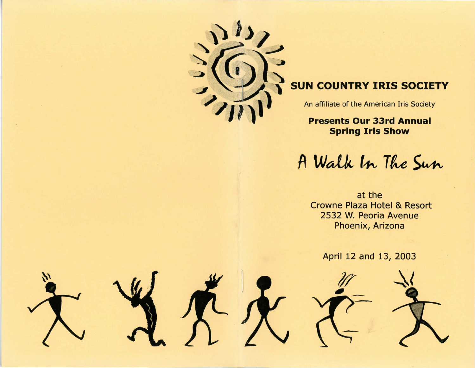

# **SUN COUNTRY IRIS SOCIETY**

An affiliate of the American Iris Society

**Presents Our 33rd Annual Spring Iris Show** 

A Walk In The Sun

at the Crowne Plaza Hotel & Resort 2532 W. Peoria Avenue Phoenix, Arizona

April 12 and 13, 2003

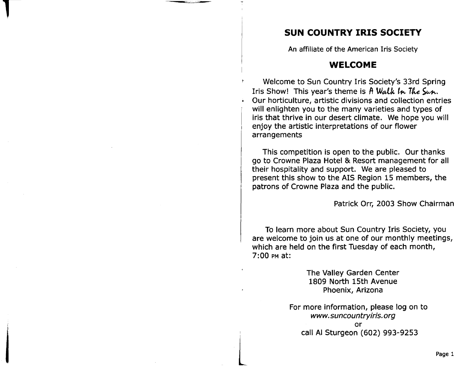## **SUN COUNTRY IRIS SOCIETY**

An affiliate of the American Iris Society

## **WELCOME**

Welcome to Sun Country Iris Society's 33rd Spring Iris Show! This year's theme is  $A$  Walk In The Sun. • Our horticulture, artistic divisions and collection entries will enlighten you to the many varieties and types of iris that thrive in our desert climate. We hope you will enjoy the artistic interpretations of our flower arrangements

This competition is open to the public. Our thanks go to Crowne Plaza Hotel & Resort management for all their hospitality and support. We are pleased to present this show to the AIS Region 15 members, the patrons of Crowne Plaza and the public.

Patrick Orr, 2003 Show Chairman

To learn more about Sun Country Iris Society, you are welcome to join us at one of our monthly meetings, which are held on the first Tuesday of each month, 7:00 PM at:

> The Valley Garden Center 1809 North 15th Avenue Phoenix, Arizona

For more information, please log on to *www.suncountryiris.org*  or call AI Sturgeon (602) 993-9253

I

l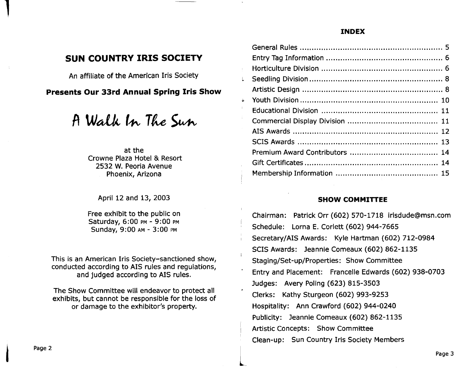#### **INDEX**

## **SUN COUNTRY IRIS SOCIETY**

An affiliate of the American Iris Society

**Presents Our 33rd Annual Spring Iris Show** 

A Walk In The Sun

at the Crowne Plaza Hotel & Resort 2532 W. Peoria Avenue Phoenix, Arizona

April 12 and 13, 2003

Free exhibit to the public on Saturday, 6:00 PM - 9:00 PM Sunday, 9:00 AM - 3:00 PM

This is an American Iris Society-sanctioned show, conducted according to AIS rules and regulations, and judged according to AIS rules.

The Show Committee will endeavor to protect all exhibits, but cannot be responsible for the loss of or damage to the exhibitor's property.

| Ļ  |  |
|----|--|
|    |  |
| à  |  |
|    |  |
| P, |  |
|    |  |
|    |  |
|    |  |
|    |  |
|    |  |
|    |  |

#### **SHOW COMMITTEE**

Chairman: Patrick Orr (602) 570-1718 irisdude@msn.com Schedule: Lorna E. Corlett (602) 944-7665 Secretary/AIS Awards: Kyle Hartman (602) 712-0984 SCIS Awards: Jeannie Comeaux (602) 862-1135 Staging/Set-up/Properties: Show Committee Entry and Placement: Francelle Edwards (602) 938-0703 Judges: Avery Poling (623) 815-3503 Clerks: Kathy Sturgeon (602) 993-9253 Hospitality: Ann Crawford (602) 944-0240 Publicity: Jeannie Comeaux (602) 862-1135 Artistic Concepts: Show Committee Clean-up: Sun Country Iris Society Members

 $\overline{L}$ 

I

1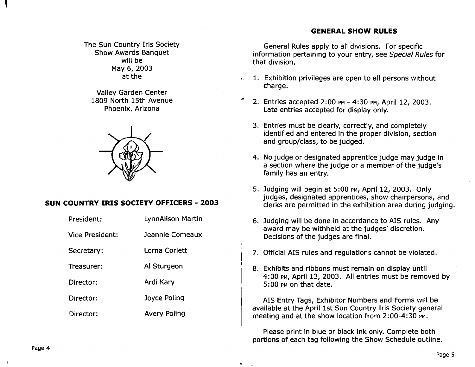#### **GENERAL SHOW RULES**

The Sun Country Iris Society Show Awards Banquet will be May 6, 2003 at the

Valley Garden Center 1809 North 15th Avenue Phoenix, Arizona



#### **SUN COUNTRY IRIS SOCIETY OFFICERS - 2003**

| President:      | LynnAlison Martin   |  |
|-----------------|---------------------|--|
| Vice President: | Jeannie Comeaux     |  |
| Secretary:      | Lorna Corlett       |  |
| Treasurer:      | Al Sturgeon         |  |
| Director:       | Ardi Kary           |  |
| Director:       | Joyce Poling        |  |
| Director:       | <b>Avery Poling</b> |  |
|                 |                     |  |

General Rules apply to all divisions. For specific information pertaining to your entry, see Special Rules for that division.

- 1. Exhibition privileges are open to all persons without charge.
- ... 2. Entries accepted 2:00 PM - 4:30 PM, April 12, 2003. Late entries accepted for display only.
	- 3. Entries must be clearly, correctly, and completely identified and entered in the proper division, section and group/class, to be judged.
	- 4. No judge or designated apprentice judge may judge in a section where the judge or a member of the judge's family has an entry.
	- 5. Judging will begin at 5:00 PM, April 12, 2003. Only judges, designated apprentices, show chairpersons, and clerks are permitted in the exhibition area during judging.
	- 6. Judging will be done in accordance to AIS rules. Any award may be withheld at the judges' discretion. Decisions of the judges are final.
	- 7. Official AIS rules and regulations cannot be violated.
	- 8. Exhibits and ribbons must remain on display until 4:00 PM, April 13, 2003. All entries must be removed by 5:00 PM on that date.

AIS Entry Tags, Exhibitor Numbers and Forms will be available at the April 1st Sun Country Iris Society general meeting and at the show location from 2:00-4:30 PM.

Please print in blue or black ink only. Complete both portions of each tag following the Show Schedule outline.

Page 4

 $\mathbf{I}$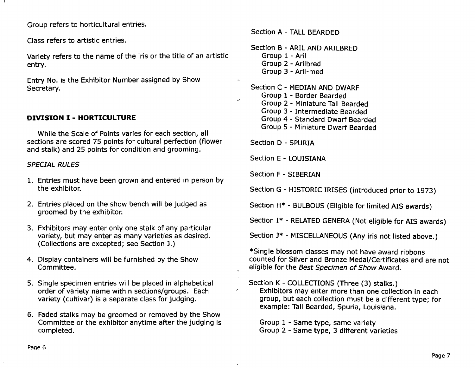Group refers to horticultural entries.

Class refers to artistic entries.

Variety refers to the name of the iris or the title of an artistic entry.

Entry No. is the Exhibitor Number assigned by Show Secretary.

#### **DIVISION I - HORTICULTURE**

While the Scale of Points varies for each section, all sections are scored 75 points for cultural perfection (flower and stalk) and 25 points for condition and grooming.

#### *SPECIAL RULES*

- 1. Entries must have been grown and entered in person by the exhibitor.
- 2. Entries placed on the show bench will be judged as groomed by the exhibitor.
- 3. Exhibitors may enter only one stalk of any particular variety, but may enter as many varieties as desired. (Collections are excepted; see Section J.)
- 4. Display containers will be furnished by the Show Committee.
- 5. Single specimen entries will be placed in alphabetical order of variety name within sections/groups. Each variety (cultivar) is a separate class for judging.
- 6. Faded stalks may be groomed or removed by the Show Committee or the exhibitor anytime after the judging is completed.

Section A - TALL BEARDED

- Section B ARIL AND ARILBRED Group 1 - Aril Group 2 - Arilbred Group 3 - Aril-med
- Section C MEDIAN AND DWARF Group 1 - Border Bearded Group 2 - Miniature Tall Bearded Group 3 - Intermediate Bearded Group 4 - Standard Dwarf Bearded Group 5 - Miniature Dwarf Bearded

Section D - SPURIA

 $\mathcal{S}$ 

Section E - LOUISIANA

Section F - SIBERIAN

Section G - HISTORIC IRISES (introduced prior to 1973)

Section H\* - BULBOUS (Eligible for limited AIS awards)

Section 1\* - RELATED GENERA (Not eligible for AIS awards)

Section J\* - MISCELLANEOUS (Any iris not listed above.)

\*Single blossom classes may not have award ribbons counted for Silver and Bronze Medal/Certificates and are not eligible for the Best Specimen of Show Award.

Section K - COLLECTIONS (Three (3) stalks.) Exhibitors may enter more than one collection in each group, but each collection must be a different type; for example: Tall Bearded, Spuria, Louisiana.

Group 1 - Same type, same variety Group 2 - Same type, 3 different varieties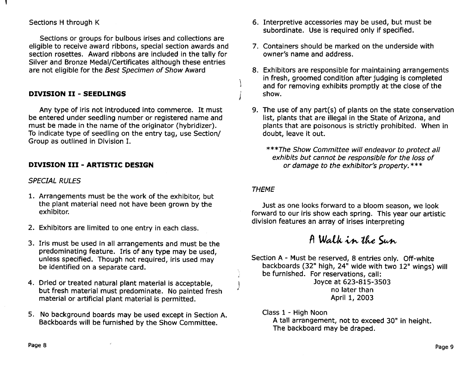#### Sections H through K

Sections or groups for bulbous irises and collections are eligible to receive award ribbons, special section awards and section rosettes. Award ribbons are included in the tally for Silver and Bronze Medal/Certificates although these entries are not eligible for the Best Specimen of Show Award

#### **DIVISION II - SEEDLINGS**

Any type of iris not introduced into commerce. It must be entered under seedling number or registered name and must be made in the name of the originator (hybridizer). To indicate type of seedling on the entry tag, use Section/ Group as outlined in Division I.

### **DIVISION III - ARTISTIC DESIGN**

#### SPECIAL RULES

- 1. Arrangements must be the work of the exhibitor, but the plant material need not have been grown by the exhibitor.
- 2. Exhibitors are limited to one entry in each class.
- 3. Iris must be used in all arrangements and must be the predominating feature. Iris of any type may be used, unless specified. Though not required, iris used may be identified on a separate card.
- 4. Dried or treated natural plant material is acceptable, but fresh material must predominate. No painted fresh material or artificial plant material is permitted.
- 5. No background boards may be used except in Section A. Backboards will be furnished by the Show Committee.
- 6. Interpretive accessories may be used, but must be subordinate. Use is required only if specified.
- 7. Containers should be marked on the underside with owner's name and address.
- 8. Exhibitors are responsible for maintaining arrangements in fresh, groomed condition after judging is completed and for removing exhibits promptly at the close of the show.
- 9. The use of any part(s) of plants on the state conservation list, plants that are illegal in the State of Arizona, and plants that are poisonous is strictly prohibited. When in doubt, leave it out.

\*\*\*The Show Committee will endeavor to protect all exhibits but cannot be responsible for the loss of or damage to the exhibitor's property. \*\*\*

#### THEME

'\

)

 $\frac{1}{\alpha}$ 

Just as one looks forward to a bloom season, we look forward to our iris show each spring. This year our artistic division features an array of irises interpreting

## A Walk in the Sun

Section A - Must be reserved, 8 entries only. Off-white backboards (32" high, 24" wide with two 12" wings) will be furnished. For reservations, call: Joyce at 623-815-3503

no later than April 1, 2003

Class 1 - High Noon

A tall arrangement, not to exceed 30" in height. The backboard may be draped.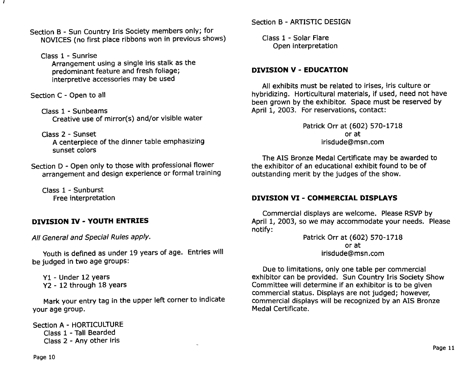Section B - Sun Country Iris Society members only; for NOVICES (no first place ribbons won in previous shows)

Class 1 - Sunrise

f

Arrangement using a single iris stalk as the predominant feature and fresh foliage; interpretive accessories may be used

Section C - Open to all

Class 1 - Sunbeams Creative use of mirror(s) and/or visible water

Class 2 - Sunset A centerpiece of the dinner table emphasizing sunset colors

Section D - Open only to those with professional flower arrangement and design experience or formal training

Class 1 - Sunburst Free interpretation

## **DIVISION IV - YOUTH ENTRIES**

All General and Special Rules apply.

Youth is defined as under 19 years of age. Entries will be judged in two age groups:

Y1 - Under 12 years Y2 - 12 through 18 years

Mark your entry tag in the upper left corner to indicate your age group.

Class 1 - Solar Flare Open interpretation

### **DIVISION V - EDUCATION**

All exhibits must be related to irises, iris culture or hybridizing. Horticultural materials, if used, need not have been grown by the exhibitor. Space must be reserved by April 1, 2003. For reservations, contact:

> Patrick Orr at (602) 570-1718 or at irisdude@msn.com

The AIS Bronze Medal Certificate may be awarded to the exhibitor of an educational exhibit found to be of outstanding merit by the judges of the show.

## **DIVISION VI - COMMERCIAL DISPLAYS**

Commercial displays are welcome. Please RSVP by April 1, 2003, so we may accommodate your needs. Please notify:

Patrick Orr at (602) 570-1718 or at irisdude@msn.com

Due to limitations, only one table per commercial exhibitor can be provided. Sun Country Iris Society Show Committee will determine if an exhibitor is to be given commercial status. Displays are not judged; however, commercial displays will be recognized by an AIS Bronze Medal Certificate.

Section A - HORTICULTURE Class 1 - Tall Bearded Class 2 - Any other iris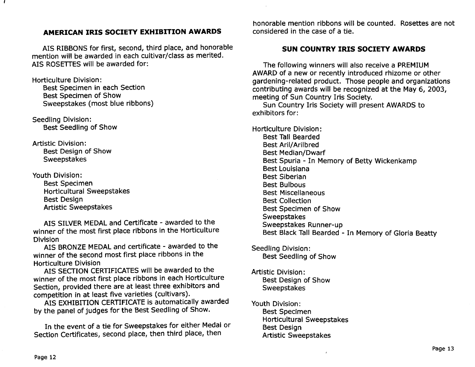#### **AMERICAN IRIS SOCIETY EXHIBITION AWARDS**

AIS RIBBONS for first, second, third place, and honorable mention will be awarded in each cultivar/class as merited. AIS ROSETTES will be awarded for:

Horticulture Division: Best Specimen in each Section Best Specimen of Show Sweepstakes (most blue ribbons)

Seedling Division: Best Seedling of Show

Artistic Division: Best Design of Show Sweepstakes

Youth Division:

Best Specimen Horticultural Sweepstakes Best Design Artistic Sweepsta kes

AIS SILVER MEDAL and Certificate - awarded to the winner of the most first place ribbons in the Horticulture Division

AIS BRONZE MEDAL and certificate - awarded to the winner of the second most first place ribbons in the Horticulture Division

AIS SECTION CERTIFICATES will be awarded to the winner of the most first place ribbons in each Horticulture Section, provided there are at least three exhibitors and competition in at least five varieties (cultivars).

AIS EXHIBITION CERTIFICATE is automatically awarded by the panel of judges for the Best Seedling of Show.

In the event of a tie for Sweepstakes for either Medal or Section Certificates, second place, then third place, then

honorable mention ribbons will be counted. Rosettes are not considered in the case of a tie.

#### **SUN COUNTRY IRIS SOCIETY AWARDS**

The following winners will also receive a PREMIUM AWARD of a new or recently introduced rhizome or other gardening-related product. Those people and organizations contributing awards will be recognized at the May 6, 2003, meeting of Sun Country Iris Society.

Sun Country Iris Society will present AWARDS to exhibitors for:

Horticulture Division: Best Tall Bearded Best Aril/Arilbred Best Median/Dwarf Best Spuria - In Memory of Betty Wickenkamp Best Louisiana Best Siberian Best Bulbous Best Miscellaneous Best Collection Best Specimen of Show Sweepstakes Sweepstakes Runner-up Best Black Tall Bearded - In Memory of Gloria Beatty

Seedling Division: Best Seedling of Show

Artistic Division: Best DeSign of Show Sweepstakes

Youth Division: Best Specimen Horticultural Sweepstakes Best DeSign Artistic Sweepstakes